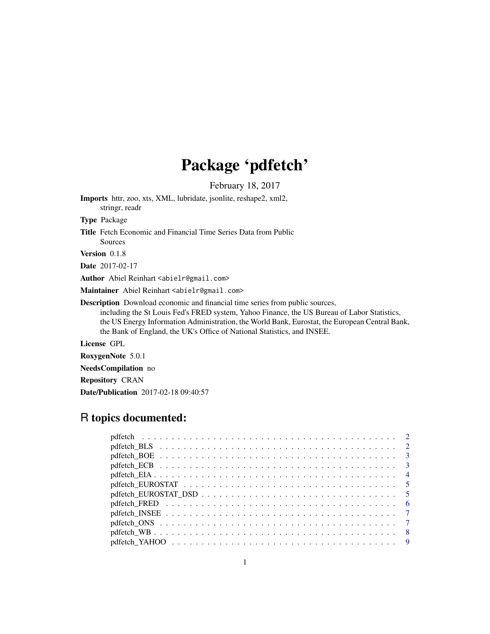## Package 'pdfetch'

February 18, 2017

Imports httr, zoo, xts, XML, lubridate, jsonlite, reshape2, xml2, stringr, readr Type Package Title Fetch Economic and Financial Time Series Data from Public Sources

Version 0.1.8

Date 2017-02-17

Author Abiel Reinhart <abielr@gmail.com>

Maintainer Abiel Reinhart <abielr@gmail.com>

Description Download economic and financial time series from public sources,

including the St Louis Fed's FRED system, Yahoo Finance, the US Bureau of Labor Statistics, the US Energy Information Administration, the World Bank, Eurostat, the European Central Bank, the Bank of England, the UK's Office of National Statistics, and INSEE.

License GPL

RoxygenNote 5.0.1

NeedsCompilation no

Repository CRAN

Date/Publication 2017-02-18 09:40:57

### R topics documented:

| pdfetch_FRED $\ldots \ldots \ldots \ldots \ldots \ldots \ldots \ldots \ldots \ldots \ldots \ldots \ldots$ |  |
|-----------------------------------------------------------------------------------------------------------|--|
|                                                                                                           |  |
|                                                                                                           |  |
|                                                                                                           |  |
|                                                                                                           |  |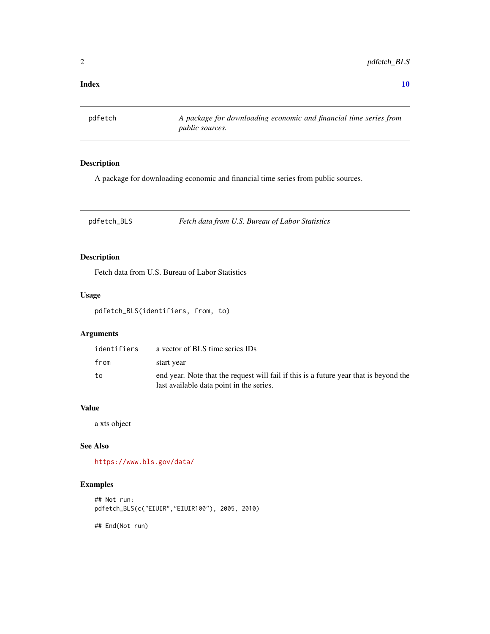#### <span id="page-1-0"></span> $\blacksquare$

pdfetch *A package for downloading economic and financial time series from public sources.*

#### Description

A package for downloading economic and financial time series from public sources.

pdfetch\_BLS *Fetch data from U.S. Bureau of Labor Statistics*

#### Description

Fetch data from U.S. Bureau of Labor Statistics

#### Usage

pdfetch\_BLS(identifiers, from, to)

#### Arguments

| identifiers | a vector of BLS time series IDs                                                                                                   |
|-------------|-----------------------------------------------------------------------------------------------------------------------------------|
| from        | start year                                                                                                                        |
| to          | end year. Note that the request will fail if this is a future year that is beyond the<br>last available data point in the series. |

#### Value

a xts object

#### See Also

<https://www.bls.gov/data/>

#### Examples

```
## Not run:
pdfetch_BLS(c("EIUIR","EIUIR100"), 2005, 2010)
## End(Not run)
```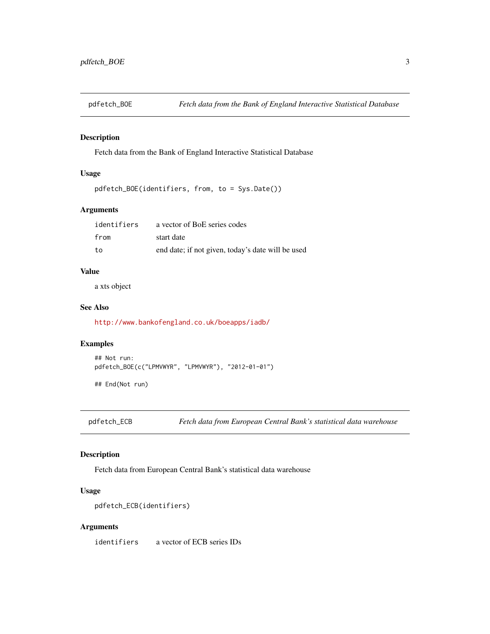<span id="page-2-0"></span>

Fetch data from the Bank of England Interactive Statistical Database

#### Usage

```
pdfetch_BOE(identifiers, from, to = Sys.Date())
```
#### Arguments

| identifiers | a vector of BoE series codes                      |
|-------------|---------------------------------------------------|
| from        | start date                                        |
| to          | end date; if not given, today's date will be used |

#### Value

a xts object

#### See Also

<http://www.bankofengland.co.uk/boeapps/iadb/>

#### Examples

```
## Not run:
pdfetch_BOE(c("LPMVWYR", "LPMVWYR"), "2012-01-01")
```
## End(Not run)

pdfetch\_ECB *Fetch data from European Central Bank's statistical data warehouse*

#### Description

Fetch data from European Central Bank's statistical data warehouse

#### Usage

```
pdfetch_ECB(identifiers)
```
#### Arguments

identifiers a vector of ECB series IDs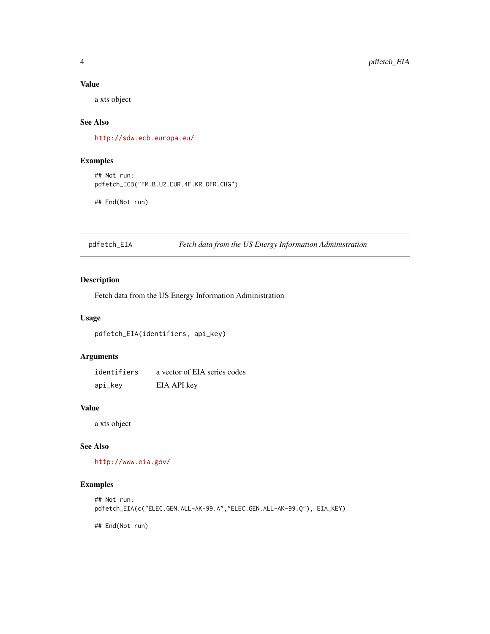#### <span id="page-3-0"></span>Value

a xts object

#### See Also

<http://sdw.ecb.europa.eu/>

#### Examples

## Not run: pdfetch\_ECB("FM.B.U2.EUR.4F.KR.DFR.CHG")

## End(Not run)

#### pdfetch\_EIA *Fetch data from the US Energy Information Administration*

#### Description

Fetch data from the US Energy Information Administration

#### Usage

pdfetch\_EIA(identifiers, api\_key)

#### Arguments

| identifiers | a vector of EIA series codes |
|-------------|------------------------------|
| api_key     | EIA API key                  |

#### Value

a xts object

#### See Also

<http://www.eia.gov/>

#### Examples

```
## Not run:
pdfetch_EIA(c("ELEC.GEN.ALL-AK-99.A","ELEC.GEN.ALL-AK-99.Q"), EIA_KEY)
```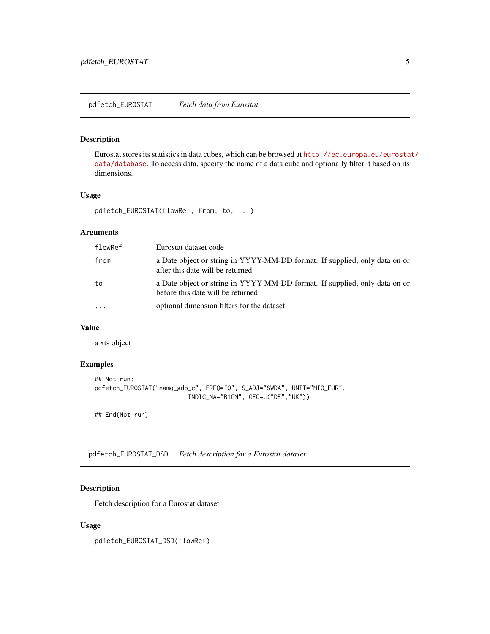<span id="page-4-0"></span>Eurostat stores its statistics in data cubes, which can be browsed at [http://ec.europa.eu/eurosta](http://ec.europa.eu/eurostat/data/database)t/ [data/database](http://ec.europa.eu/eurostat/data/database). To access data, specify the name of a data cube and optionally filter it based on its dimensions.

#### Usage

```
pdfetch_EUROSTAT(flowRef, from, to, ...)
```
#### Arguments

| flowRef  | Eurostat dataset code                                                                                           |
|----------|-----------------------------------------------------------------------------------------------------------------|
| from     | a Date object or string in YYYY-MM-DD format. If supplied, only data on or<br>after this date will be returned  |
| to       | a Date object or string in YYYY-MM-DD format. If supplied, only data on or<br>before this date will be returned |
| $\cdots$ | optional dimension filters for the dataset                                                                      |

#### Value

a xts object

#### Examples

```
## Not run:
pdfetch_EUROSTAT("namq_gdp_c", FREQ="Q", S_ADJ="SWDA", UNIT="MIO_EUR",
                          INDIC_NA="B1GM", GEO=c("DE","UK"))
```
## End(Not run)

pdfetch\_EUROSTAT\_DSD *Fetch description for a Eurostat dataset*

#### Description

Fetch description for a Eurostat dataset

#### Usage

pdfetch\_EUROSTAT\_DSD(flowRef)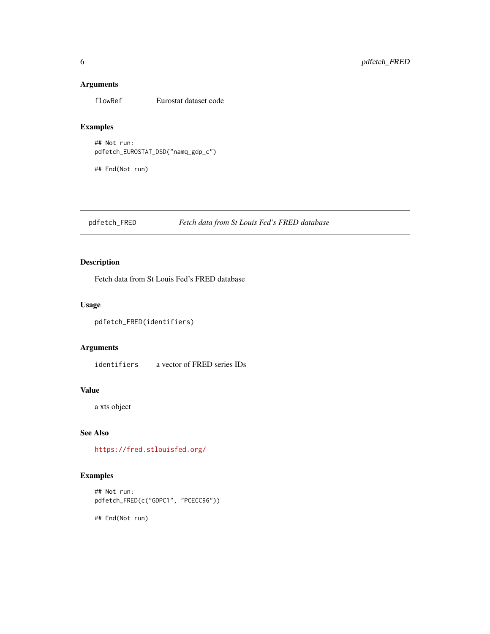#### <span id="page-5-0"></span>Arguments

flowRef Eurostat dataset code

#### Examples

## Not run: pdfetch\_EUROSTAT\_DSD("namq\_gdp\_c")

## End(Not run)

#### pdfetch\_FRED *Fetch data from St Louis Fed's FRED database*

#### Description

Fetch data from St Louis Fed's FRED database

#### Usage

```
pdfetch_FRED(identifiers)
```
#### Arguments

identifiers a vector of FRED series IDs

#### Value

a xts object

#### See Also

<https://fred.stlouisfed.org/>

#### Examples

## Not run: pdfetch\_FRED(c("GDPC1", "PCECC96"))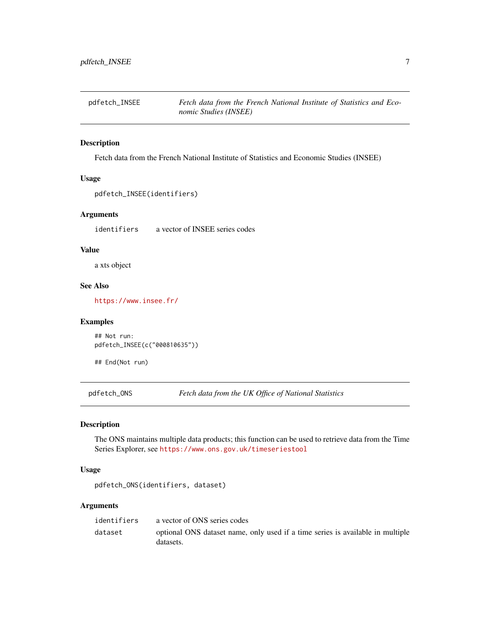<span id="page-6-0"></span>

Fetch data from the French National Institute of Statistics and Economic Studies (INSEE)

#### Usage

```
pdfetch_INSEE(identifiers)
```
#### Arguments

identifiers a vector of INSEE series codes

#### Value

a xts object

#### See Also

<https://www.insee.fr/>

#### Examples

```
## Not run:
pdfetch_INSEE(c("000810635"))
```
## End(Not run)

pdfetch\_ONS *Fetch data from the UK Office of National Statistics*

#### Description

The ONS maintains multiple data products; this function can be used to retrieve data from the Time Series Explorer, see <https://www.ons.gov.uk/timeseriestool>

#### Usage

```
pdfetch_ONS(identifiers, dataset)
```
#### Arguments

| identifiers | a vector of ONS series codes                                                                |
|-------------|---------------------------------------------------------------------------------------------|
| dataset     | optional ONS dataset name, only used if a time series is available in multiple<br>datasets. |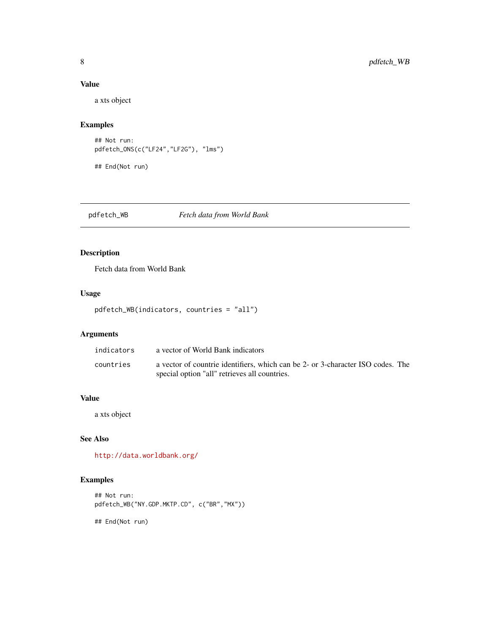#### <span id="page-7-0"></span>Value

a xts object

#### Examples

```
## Not run:
pdfetch_ONS(c("LF24","LF2G"), "lms")
```
## End(Not run)

pdfetch\_WB *Fetch data from World Bank*

#### Description

Fetch data from World Bank

#### Usage

```
pdfetch_WB(indicators, countries = "all")
```
#### Arguments

| indicators | a vector of World Bank indicators                                               |
|------------|---------------------------------------------------------------------------------|
| countries  | a vector of countrie identifiers, which can be 2- or 3-character ISO codes. The |
|            | special option "all" retrieves all countries.                                   |

#### Value

a xts object

#### See Also

<http://data.worldbank.org/>

#### Examples

```
## Not run:
pdfetch_WB("NY.GDP.MKTP.CD", c("BR","MX"))
```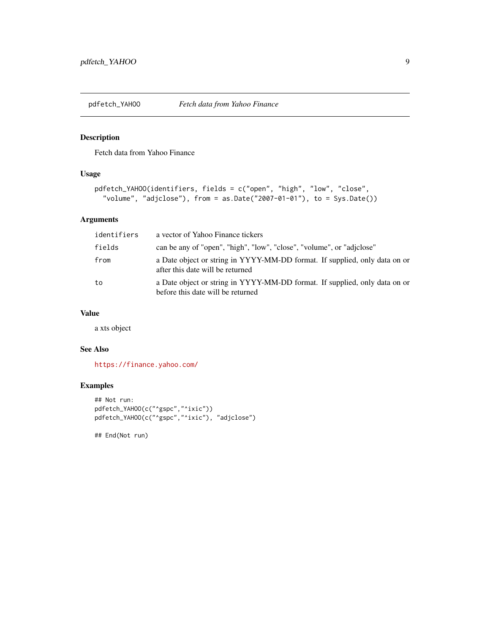<span id="page-8-0"></span>

Fetch data from Yahoo Finance

#### Usage

```
pdfetch_YAHOO(identifiers, fields = c("open", "high", "low", "close",
  "volume", "adjclose"), from = as.Date("2007-01-01"), to = Sys.Date())
```
#### Arguments

| identifiers | a vector of Yahoo Finance tickers                                                                               |
|-------------|-----------------------------------------------------------------------------------------------------------------|
| fields      | can be any of "open", "high", "low", "close", "volume", or "adjclose"                                           |
| from        | a Date object or string in YYYY-MM-DD format. If supplied, only data on or<br>after this date will be returned  |
| to          | a Date object or string in YYYY-MM-DD format. If supplied, only data on or<br>before this date will be returned |

#### Value

a xts object

#### See Also

<https://finance.yahoo.com/>

#### Examples

```
## Not run:
pdfetch_YAHOO(c("^gspc","^ixic"))
pdfetch_YAHOO(c("^gspc","^ixic"), "adjclose")
```